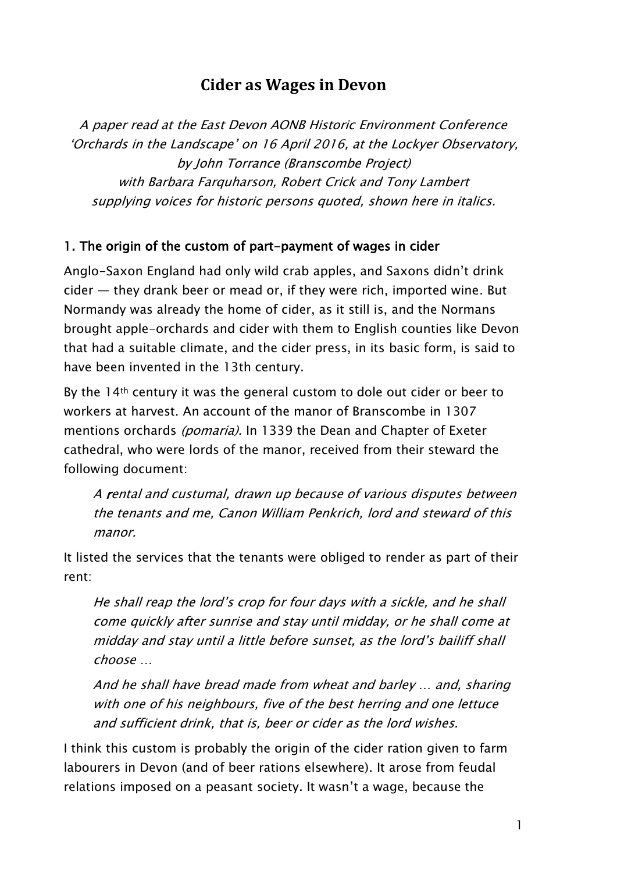# **Cider as Wages in Devon**

A paper read at the East Devon AONB Historic Environment Conference 'Orchards in the Landscape' on 16 April 2016, at the Lockyer Observatory, by John Torrance (Branscombe Project) with Barbara Farquharson, Robert Crick and Tony Lambert supplying voices for historic persons quoted, shown here in italics.

### 1. The origin of the custom of part-payment of wages in cider

Anglo-Saxon England had only wild crab apples, and Saxons didn't drink cider — they drank beer or mead or, if they were rich, imported wine. But Normandy was already the home of cider, as it still is, and the Normans brought apple-orchards and cider with them to English counties like Devon that had a suitable climate, and the cider press, in its basic form, is said to have been invented in the 13th century.

By the 14<sup>th</sup> century it was the general custom to dole out cider or beer to workers at harvest. An account of the manor of Branscombe in 1307 mentions orchards *(pomaria)*. In 1339 the Dean and Chapter of Exeter cathedral, who were lords of the manor, received from their steward the following document:

A rental and custumal, drawn up because of various disputes between the tenants and me, Canon William Penkrich, lord and steward of this manor.

It listed the services that the tenants were obliged to render as part of their rent:

He shall reap the lord's crop for four days with a sickle, and he shall come quickly after sunrise and stay until midday, or he shall come at midday and stay until a little before sunset, as the lord's bailiff shall choose …

And he shall have bread made from wheat and barley … and, sharing with one of his neighbours, five of the best herring and one lettuce and sufficient drink, that is, beer or cider as the lord wishes.

I think this custom is probably the origin of the cider ration given to farm labourers in Devon (and of beer rations elsewhere). It arose from feudal relations imposed on a peasant society. It wasn't a wage, because the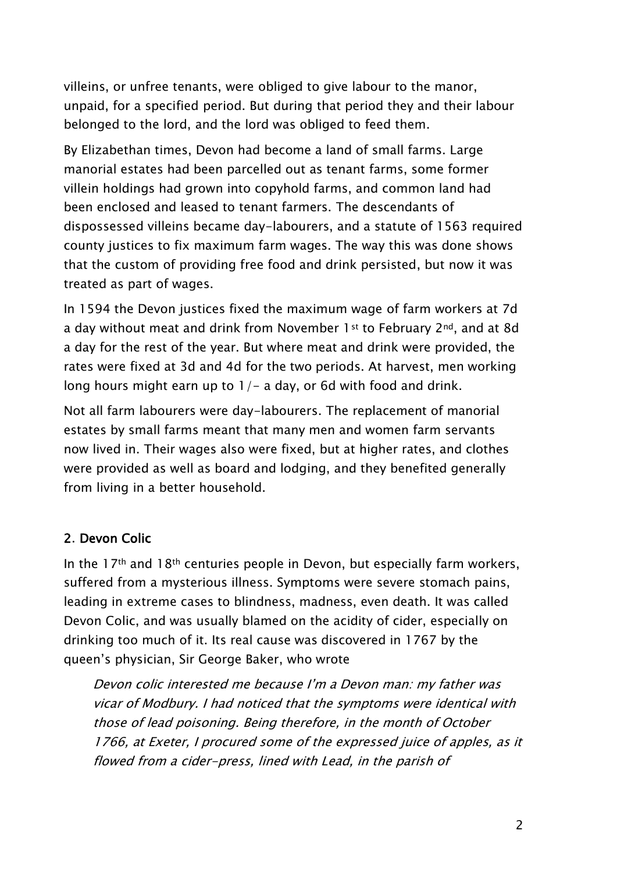villeins, or unfree tenants, were obliged to give labour to the manor, unpaid, for a specified period. But during that period they and their labour belonged to the lord, and the lord was obliged to feed them.

By Elizabethan times, Devon had become a land of small farms. Large manorial estates had been parcelled out as tenant farms, some former villein holdings had grown into copyhold farms, and common land had been enclosed and leased to tenant farmers. The descendants of dispossessed villeins became day-labourers, and a statute of 1563 required county justices to fix maximum farm wages. The way this was done shows that the custom of providing free food and drink persisted, but now it was treated as part of wages.

In 1594 the Devon justices fixed the maximum wage of farm workers at 7d a day without meat and drink from November 1st to February 2nd, and at 8d a day for the rest of the year. But where meat and drink were provided, the rates were fixed at 3d and 4d for the two periods. At harvest, men working long hours might earn up to  $1/-$  a day, or 6d with food and drink.

Not all farm labourers were day-labourers. The replacement of manorial estates by small farms meant that many men and women farm servants now lived in. Their wages also were fixed, but at higher rates, and clothes were provided as well as board and lodging, and they benefited generally from living in a better household.

### 2. Devon Colic

In the  $17<sup>th</sup>$  and  $18<sup>th</sup>$  centuries people in Devon, but especially farm workers, suffered from a mysterious illness. Symptoms were severe stomach pains, leading in extreme cases to blindness, madness, even death. It was called Devon Colic, and was usually blamed on the acidity of cider, especially on drinking too much of it. Its real cause was discovered in 1767 by the queen's physician, Sir George Baker, who wrote

Devon colic interested me because I'm a Devon man: my father was vicar of Modbury. I had noticed that the symptoms were identical with those of lead poisoning. Being therefore, in the month of October 1766, at Exeter, I procured some of the expressed juice of apples, as it flowed from a cider-press, lined with Lead, in the parish of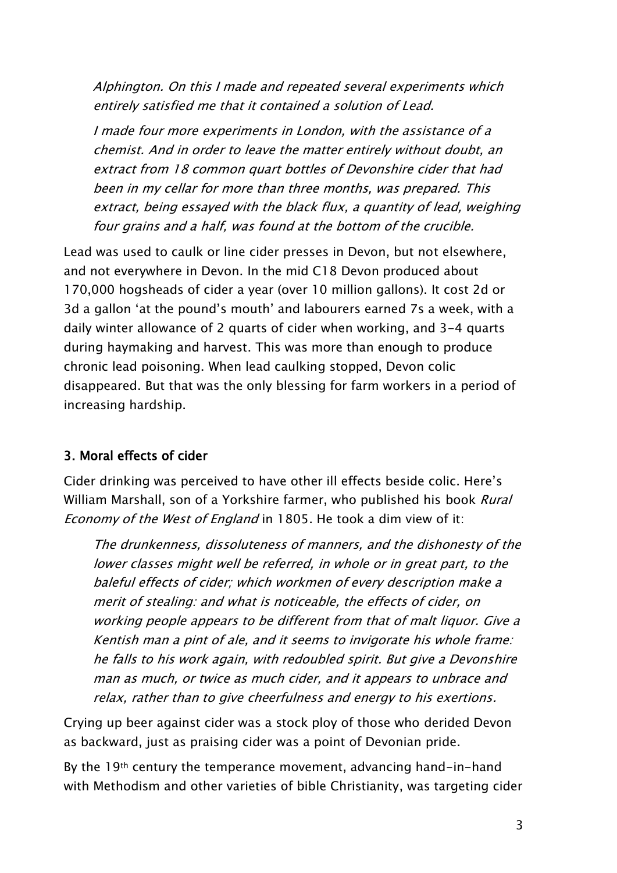Alphington. On this I made and repeated several experiments which entirely satisfied me that it contained a solution of Lead.

I made four more experiments in London, with the assistance of a chemist. And in order to leave the matter entirely without doubt, an extract from 18 common quart bottles of Devonshire cider that had been in my cellar for more than three months, was prepared. This extract, being essayed with the black flux, a quantity of lead, weighing four grains and a half, was found at the bottom of the crucible.

Lead was used to caulk or line cider presses in Devon, but not elsewhere, and not everywhere in Devon. In the mid C18 Devon produced about 170,000 hogsheads of cider a year (over 10 million gallons). It cost 2d or 3d a gallon 'at the pound's mouth' and labourers earned 7s a week, with a daily winter allowance of 2 quarts of cider when working, and 3-4 quarts during haymaking and harvest. This was more than enough to produce chronic lead poisoning. When lead caulking stopped, Devon colic disappeared. But that was the only blessing for farm workers in a period of increasing hardship.

## 3. Moral effects of cider

Cider drinking was perceived to have other ill effects beside colic. Here's William Marshall, son of a Yorkshire farmer, who published his book *Rural* Economy of the West of England in 1805. He took a dim view of it:

The drunkenness, dissoluteness of manners, and the dishonesty of the lower classes might well be referred, in whole or in great part, to the baleful effects of cider; which workmen of every description make a merit of stealing: and what is noticeable, the effects of cider, on working people appears to be different from that of malt liquor. Give a Kentish man a pint of ale, and it seems to invigorate his whole frame: he falls to his work again, with redoubled spirit. But give a Devonshire man as much, or twice as much cider, and it appears to unbrace and relax, rather than to give cheerfulness and energy to his exertions.

Crying up beer against cider was a stock ploy of those who derided Devon as backward, just as praising cider was a point of Devonian pride.

By the 19<sup>th</sup> century the temperance movement, advancing hand-in-hand with Methodism and other varieties of bible Christianity, was targeting cider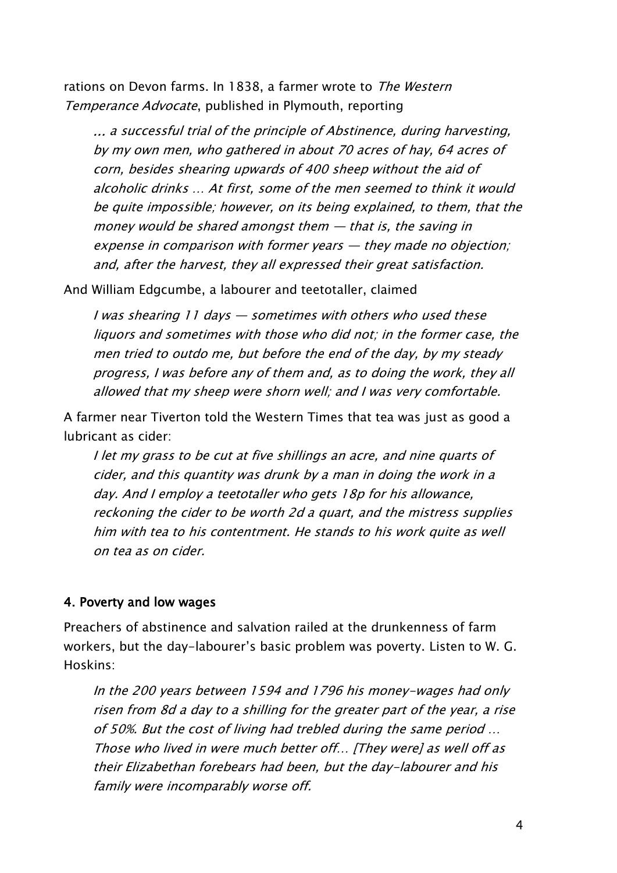rations on Devon farms. In 1838, a farmer wrote to The Western Temperance Advocate, published in Plymouth, reporting

… a successful trial of the principle of Abstinence, during harvesting, by my own men, who gathered in about 70 acres of hay, 64 acres of corn, besides shearing upwards of 400 sheep without the aid of alcoholic drinks … At first, some of the men seemed to think it would be quite impossible; however, on its being explained, to them, that the money would be shared amongst them  $-$  that is, the saving in expense in comparison with former years — they made no objection; and, after the harvest, they all expressed their great satisfaction.

And William Edgcumbe, a labourer and teetotaller, claimed

I was shearing 11 days — sometimes with others who used these liquors and sometimes with those who did not; in the former case, the men tried to outdo me, but before the end of the day, by my steady progress, I was before any of them and, as to doing the work, they all allowed that my sheep were shorn well; and I was very comfortable.

A farmer near Tiverton told the Western Times that tea was just as good a lubricant as cider:

I let my grass to be cut at five shillings an acre, and nine quarts of cider, and this quantity was drunk by a man in doing the work in a day. And I employ a teetotaller who gets 18p for his allowance, reckoning the cider to be worth 2d a quart, and the mistress supplies him with tea to his contentment. He stands to his work quite as well on tea as on cider.

### 4. Poverty and low wages

Preachers of abstinence and salvation railed at the drunkenness of farm workers, but the day-labourer's basic problem was poverty. Listen to W. G. Hoskins:

In the 200 years between 1594 and 1796 his money-wages had only risen from 8d a day to a shilling for the greater part of the year, a rise of 50%. But the cost of living had trebled during the same period … Those who lived in were much better off… [They were] as well off as their Elizabethan forebears had been, but the day-labourer and his family were incomparably worse off.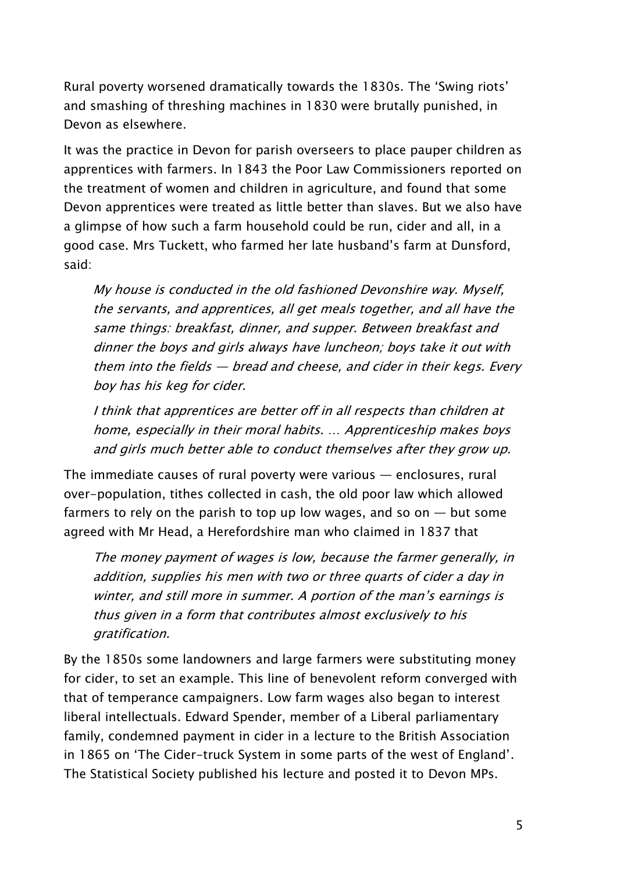Rural poverty worsened dramatically towards the 1830s. The 'Swing riots' and smashing of threshing machines in 1830 were brutally punished, in Devon as elsewhere.

It was the practice in Devon for parish overseers to place pauper children as apprentices with farmers. In 1843 the Poor Law Commissioners reported on the treatment of women and children in agriculture, and found that some Devon apprentices were treated as little better than slaves. But we also have a glimpse of how such a farm household could be run, cider and all, in a good case. Mrs Tuckett, who farmed her late husband's farm at Dunsford, said:

My house is conducted in the old fashioned Devonshire way. Myself, the servants, and apprentices, all get meals together, and all have the same things: breakfast, dinner, and supper. Between breakfast and dinner the boys and girls always have luncheon; boys take it out with them into the fields — bread and cheese, and cider in their kegs. Every boy has his keg for cider.

I think that apprentices are better off in all respects than children at home, especially in their moral habits. … Apprenticeship makes boys and girls much better able to conduct themselves after they grow up.

The immediate causes of rural poverty were various — enclosures, rural over-population, tithes collected in cash, the old poor law which allowed farmers to rely on the parish to top up low wages, and so on  $-$  but some agreed with Mr Head, a Herefordshire man who claimed in 1837 that

The money payment of wages is low, because the farmer generally, in addition, supplies his men with two or three quarts of cider a day in winter, and still more in summer. A portion of the man's earnings is thus given in a form that contributes almost exclusively to his gratification.

By the 1850s some landowners and large farmers were substituting money for cider, to set an example. This line of benevolent reform converged with that of temperance campaigners. Low farm wages also began to interest liberal intellectuals. Edward Spender, member of a Liberal parliamentary family, condemned payment in cider in a lecture to the British Association in 1865 on 'The Cider-truck System in some parts of the west of England'. The Statistical Society published his lecture and posted it to Devon MPs.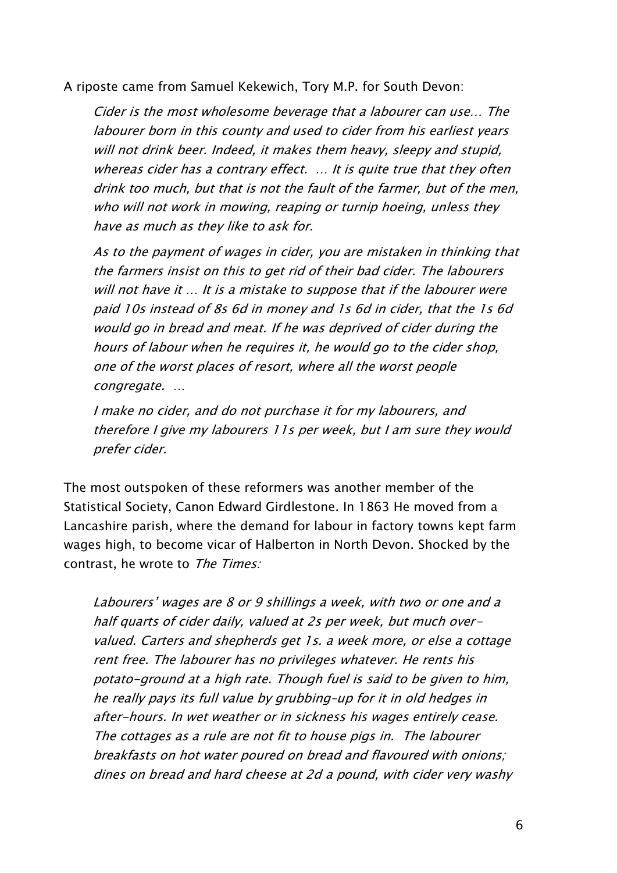A riposte came from Samuel Kekewich, Tory M.P. for South Devon:

Cider is the most wholesome beverage that a labourer can use… The labourer born in this county and used to cider from his earliest years will not drink beer. Indeed, it makes them heavy, sleepy and stupid, whereas cider has a contrary effect. … It is quite true that they often drink too much, but that is not the fault of the farmer, but of the men, who will not work in mowing, reaping or turnip hoeing, unless they have as much as they like to ask for.

As to the payment of wages in cider, you are mistaken in thinking that the farmers insist on this to get rid of their bad cider. The labourers will not have it … It is a mistake to suppose that if the labourer were paid 10s instead of 8s 6d in money and 1s 6d in cider, that the 1s 6d would go in bread and meat. If he was deprived of cider during the hours of labour when he requires it, he would go to the cider shop, one of the worst places of resort, where all the worst people congregate. …

I make no cider, and do not purchase it for my labourers, and therefore I give my labourers 11s per week, but I am sure they would prefer cider.

The most outspoken of these reformers was another member of the Statistical Society, Canon Edward Girdlestone. In 1863 He moved from a Lancashire parish, where the demand for labour in factory towns kept farm wages high, to become vicar of Halberton in North Devon. Shocked by the contrast, he wrote to The Times:

Labourers' wages are 8 or 9 shillings a week, with two or one and a half quarts of cider daily, valued at 2s per week, but much overvalued. Carters and shepherds get 1s. a week more, or else a cottage rent free. The labourer has no privileges whatever. He rents his potato-ground at a high rate. Though fuel is said to be given to him, he really pays its full value by grubbing–up for it in old hedges in after-hours. In wet weather or in sickness his wages entirely cease. The cottages as a rule are not fit to house pigs in. The labourer breakfasts on hot water poured on bread and flavoured with onions; dines on bread and hard cheese at 2d a pound, with cider very washy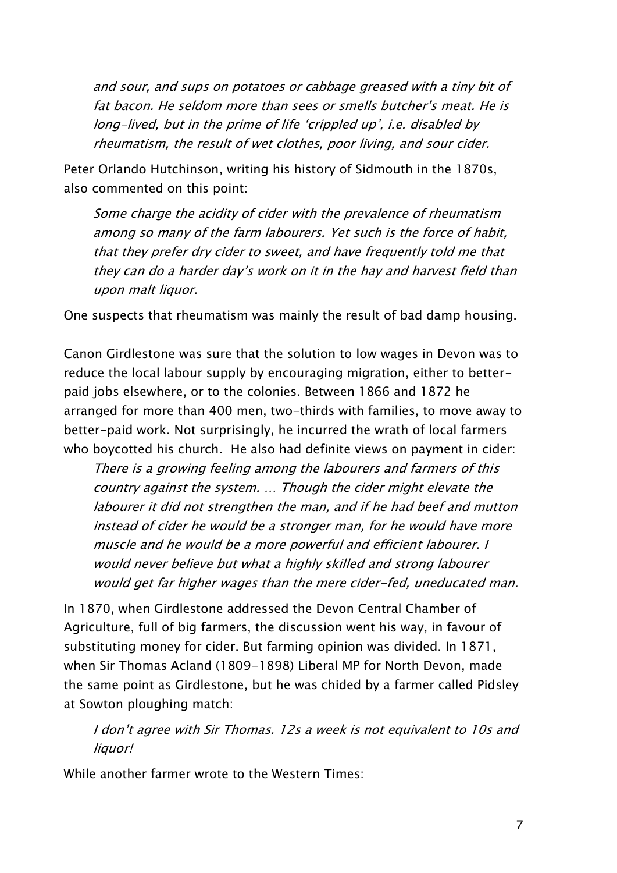and sour, and sups on potatoes or cabbage greased with a tiny bit of fat bacon. He seldom more than sees or smells butcher's meat. He is long-lived, but in the prime of life 'crippled up', i.e. disabled by rheumatism, the result of wet clothes, poor living, and sour cider.

Peter Orlando Hutchinson, writing his history of Sidmouth in the 1870s, also commented on this point:

Some charge the acidity of cider with the prevalence of rheumatism among so many of the farm labourers. Yet such is the force of habit, that they prefer dry cider to sweet, and have frequently told me that they can do a harder day's work on it in the hay and harvest field than upon malt liquor.

One suspects that rheumatism was mainly the result of bad damp housing.

Canon Girdlestone was sure that the solution to low wages in Devon was to reduce the local labour supply by encouraging migration, either to betterpaid jobs elsewhere, or to the colonies. Between 1866 and 1872 he arranged for more than 400 men, two-thirds with families, to move away to better-paid work. Not surprisingly, he incurred the wrath of local farmers who boycotted his church. He also had definite views on payment in cider:

There is a growing feeling among the labourers and farmers of this country against the system. … Though the cider might elevate the labourer it did not strengthen the man, and if he had beef and mutton instead of cider he would be a stronger man, for he would have more muscle and he would be a more powerful and efficient labourer. I would never believe but what a highly skilled and strong labourer would get far higher wages than the mere cider-fed, uneducated man.

In 1870, when Girdlestone addressed the Devon Central Chamber of Agriculture, full of big farmers, the discussion went his way, in favour of substituting money for cider. But farming opinion was divided. In 1871, when Sir Thomas Acland (1809-1898) Liberal MP for North Devon, made the same point as Girdlestone, but he was chided by a farmer called Pidsley at Sowton ploughing match:

I don't agree with Sir Thomas. 12s a week is not equivalent to 10s and liquor!

While another farmer wrote to the Western Times: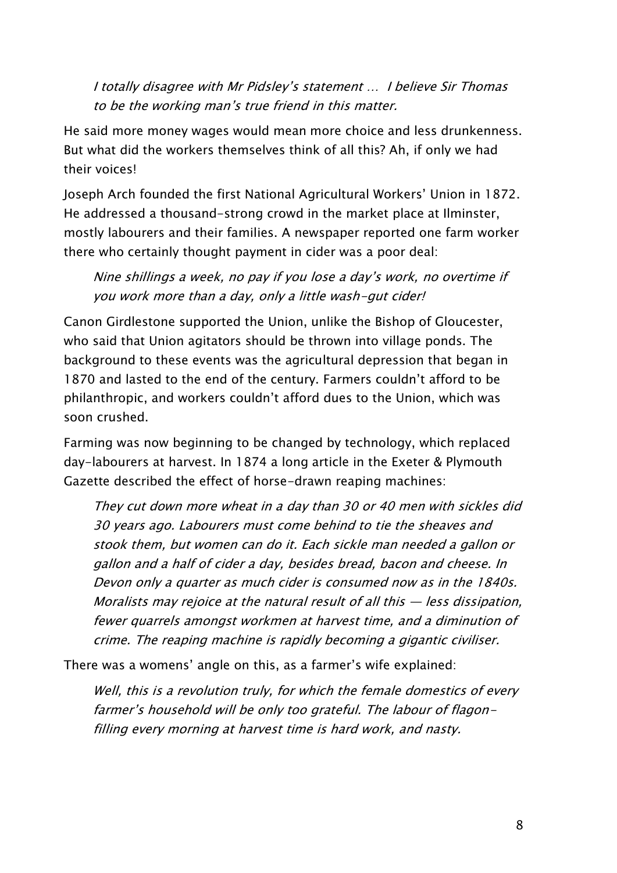I totally disagree with Mr Pidsley's statement … I believe Sir Thomas to be the working man's true friend in this matter.

He said more money wages would mean more choice and less drunkenness. But what did the workers themselves think of all this? Ah, if only we had their voices!

Joseph Arch founded the first National Agricultural Workers' Union in 1872. He addressed a thousand-strong crowd in the market place at Ilminster, mostly labourers and their families. A newspaper reported one farm worker there who certainly thought payment in cider was a poor deal:

Nine shillings a week, no pay if you lose a day's work, no overtime if you work more than a day, only a little wash-gut cider!

Canon Girdlestone supported the Union, unlike the Bishop of Gloucester, who said that Union agitators should be thrown into village ponds. The background to these events was the agricultural depression that began in 1870 and lasted to the end of the century. Farmers couldn't afford to be philanthropic, and workers couldn't afford dues to the Union, which was soon crushed.

Farming was now beginning to be changed by technology, which replaced day-labourers at harvest. In 1874 a long article in the Exeter & Plymouth Gazette described the effect of horse-drawn reaping machines:

They cut down more wheat in a day than 30 or 40 men with sickles did 30 years ago. Labourers must come behind to tie the sheaves and stook them, but women can do it. Each sickle man needed a gallon or gallon and a half of cider a day, besides bread, bacon and cheese. In Devon only a quarter as much cider is consumed now as in the 1840s. Moralists may rejoice at the natural result of all this — less dissipation, fewer quarrels amongst workmen at harvest time, and a diminution of crime. The reaping machine is rapidly becoming a gigantic civiliser.

There was a womens' angle on this, as a farmer's wife explained:

Well, this is a revolution truly, for which the female domestics of every farmer's household will be only too grateful. The labour of flagonfilling every morning at harvest time is hard work, and nasty.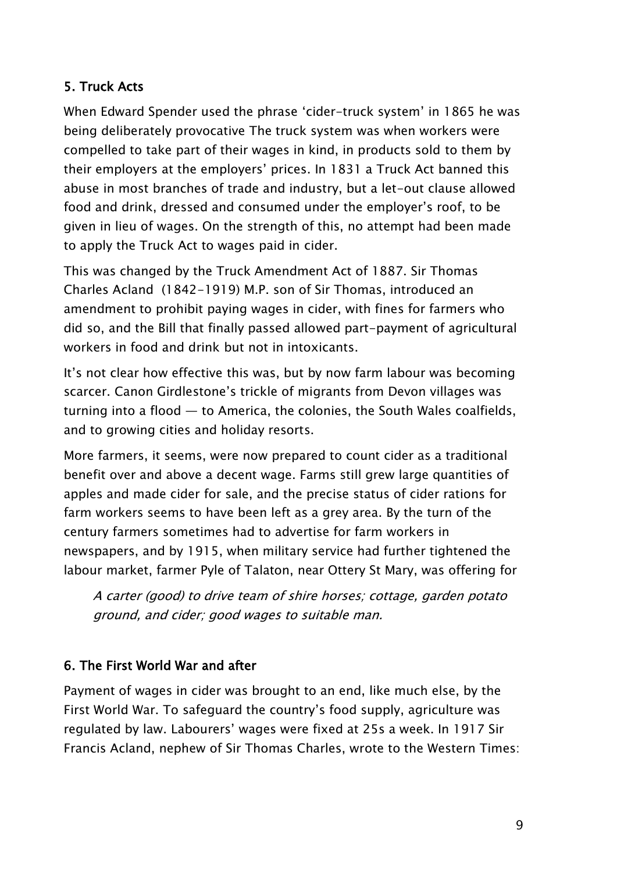### 5. Truck Acts

When Edward Spender used the phrase 'cider-truck system' in 1865 he was being deliberately provocative The truck system was when workers were compelled to take part of their wages in kind, in products sold to them by their employers at the employers' prices. In 1831 a Truck Act banned this abuse in most branches of trade and industry, but a let-out clause allowed food and drink, dressed and consumed under the employer's roof, to be given in lieu of wages. On the strength of this, no attempt had been made to apply the Truck Act to wages paid in cider.

This was changed by the Truck Amendment Act of 1887. Sir Thomas Charles Acland (1842-1919) M.P. son of Sir Thomas, introduced an amendment to prohibit paying wages in cider, with fines for farmers who did so, and the Bill that finally passed allowed part-payment of agricultural workers in food and drink but not in intoxicants.

It's not clear how effective this was, but by now farm labour was becoming scarcer. Canon Girdlestone's trickle of migrants from Devon villages was turning into a flood — to America, the colonies, the South Wales coalfields, and to growing cities and holiday resorts.

More farmers, it seems, were now prepared to count cider as a traditional benefit over and above a decent wage. Farms still grew large quantities of apples and made cider for sale, and the precise status of cider rations for farm workers seems to have been left as a grey area. By the turn of the century farmers sometimes had to advertise for farm workers in newspapers, and by 1915, when military service had further tightened the labour market, farmer Pyle of Talaton, near Ottery St Mary, was offering for

A carter (good) to drive team of shire horses; cottage, garden potato ground, and cider; good wages to suitable man.

## 6. The First World War and after

Payment of wages in cider was brought to an end, like much else, by the First World War. To safeguard the country's food supply, agriculture was regulated by law. Labourers' wages were fixed at 25s a week. In 1917 Sir Francis Acland, nephew of Sir Thomas Charles, wrote to the Western Times: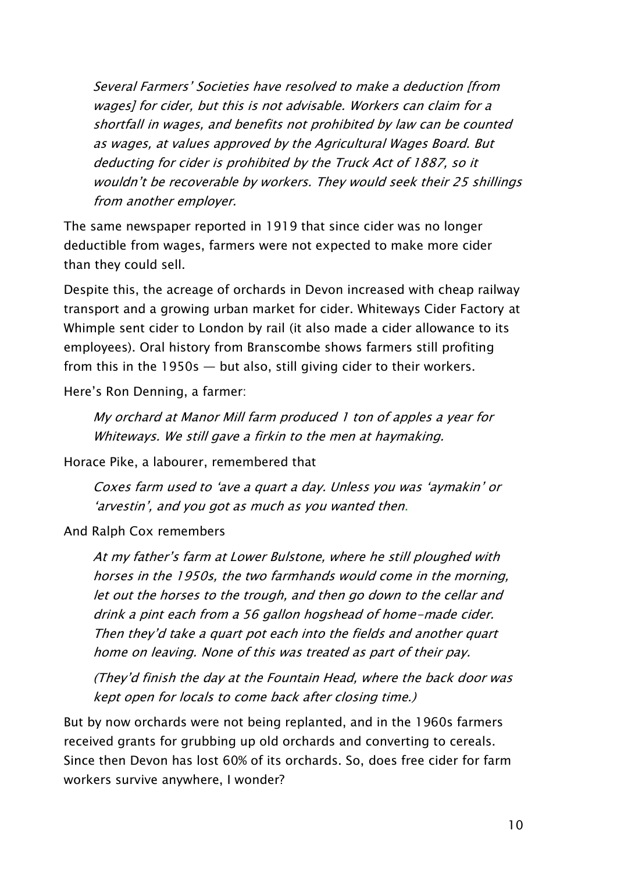Several Farmers' Societies have resolved to make a deduction [from wages] for cider, but this is not advisable. Workers can claim for a shortfall in wages, and benefits not prohibited by law can be counted as wages, at values approved by the Agricultural Wages Board. But deducting for cider is prohibited by the Truck Act of 1887, so it wouldn't be recoverable by workers. They would seek their 25 shillings from another employer.

The same newspaper reported in 1919 that since cider was no longer deductible from wages, farmers were not expected to make more cider than they could sell.

Despite this, the acreage of orchards in Devon increased with cheap railway transport and a growing urban market for cider. Whiteways Cider Factory at Whimple sent cider to London by rail (it also made a cider allowance to its employees). Oral history from Branscombe shows farmers still profiting from this in the 1950s — but also, still giving cider to their workers.

Here's Ron Denning, a farmer:

My orchard at Manor Mill farm produced 1 ton of apples a year for Whiteways. We still gave a firkin to the men at haymaking.

Horace Pike, a labourer, remembered that

Coxes farm used to 'ave a quart a day. Unless you was 'aymakin' or 'arvestin', and you got as much as you wanted then.

And Ralph Cox remembers

At my father's farm at Lower Bulstone, where he still ploughed with horses in the 1950s, the two farmhands would come in the morning, let out the horses to the trough, and then go down to the cellar and drink a pint each from a 56 gallon hogshead of home-made cider. Then they'd take a quart pot each into the fields and another quart home on leaving. None of this was treated as part of their pay.

(They'd finish the day at the Fountain Head, where the back door was kept open for locals to come back after closing time.)

But by now orchards were not being replanted, and in the 1960s farmers received grants for grubbing up old orchards and converting to cereals. Since then Devon has lost 60% of its orchards. So, does free cider for farm workers survive anywhere, I wonder?